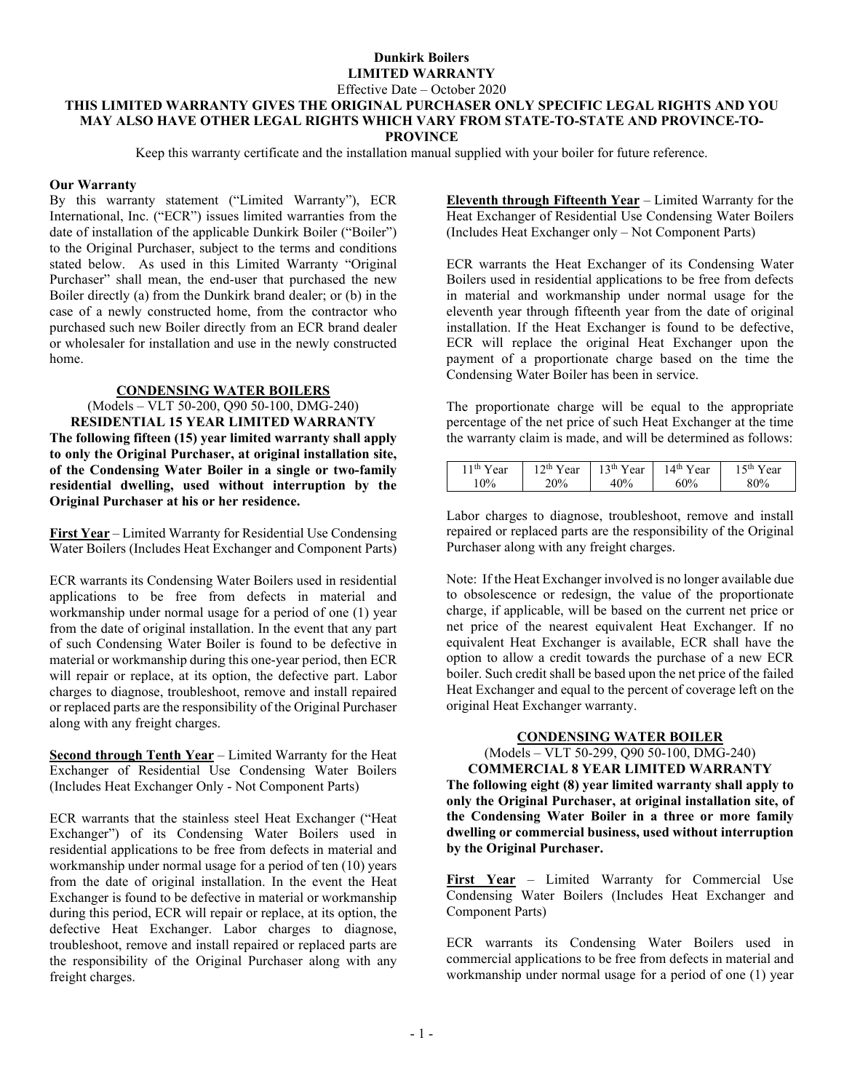Effective Date – October 2020

#### **THIS LIMITED WARRANTY GIVES THE ORIGINAL PURCHASER ONLY SPECIFIC LEGAL RIGHTS AND YOU MAY ALSO HAVE OTHER LEGAL RIGHTS WHICH VARY FROM STATE-TO-STATE AND PROVINCE-TO-PROVINCE**

Keep this warranty certificate and the installation manual supplied with your boiler for future reference.

## **Our Warranty**

By this warranty statement ("Limited Warranty"), ECR International, Inc. ("ECR") issues limited warranties from the date of installation of the applicable Dunkirk Boiler ("Boiler") to the Original Purchaser, subject to the terms and conditions stated below. As used in this Limited Warranty "Original Purchaser" shall mean, the end-user that purchased the new Boiler directly (a) from the Dunkirk brand dealer; or (b) in the case of a newly constructed home, from the contractor who purchased such new Boiler directly from an ECR brand dealer or wholesaler for installation and use in the newly constructed home.

## **CONDENSING WATER BOILERS**

(Models – VLT 50-200, Q90 50-100, DMG-240) **RESIDENTIAL 15 YEAR LIMITED WARRANTY The following fifteen (15) year limited warranty shall apply to only the Original Purchaser, at original installation site, of the Condensing Water Boiler in a single or two-family residential dwelling, used without interruption by the Original Purchaser at his or her residence.**

**First Year** – Limited Warranty for Residential Use Condensing Water Boilers (Includes Heat Exchanger and Component Parts)

ECR warrants its Condensing Water Boilers used in residential applications to be free from defects in material and workmanship under normal usage for a period of one (1) year from the date of original installation. In the event that any part of such Condensing Water Boiler is found to be defective in material or workmanship during this one-year period, then ECR will repair or replace, at its option, the defective part. Labor charges to diagnose, troubleshoot, remove and install repaired or replaced parts are the responsibility of the Original Purchaser along with any freight charges.

**Second through Tenth Year** – Limited Warranty for the Heat Exchanger of Residential Use Condensing Water Boilers (Includes Heat Exchanger Only - Not Component Parts)

ECR warrants that the stainless steel Heat Exchanger ("Heat Exchanger") of its Condensing Water Boilers used in residential applications to be free from defects in material and workmanship under normal usage for a period of ten (10) years from the date of original installation. In the event the Heat Exchanger is found to be defective in material or workmanship during this period, ECR will repair or replace, at its option, the defective Heat Exchanger. Labor charges to diagnose, troubleshoot, remove and install repaired or replaced parts are the responsibility of the Original Purchaser along with any freight charges.

**Eleventh through Fifteenth Year** – Limited Warranty for the Heat Exchanger of Residential Use Condensing Water Boilers (Includes Heat Exchanger only – Not Component Parts)

ECR warrants the Heat Exchanger of its Condensing Water Boilers used in residential applications to be free from defects in material and workmanship under normal usage for the eleventh year through fifteenth year from the date of original installation. If the Heat Exchanger is found to be defective, ECR will replace the original Heat Exchanger upon the payment of a proportionate charge based on the time the Condensing Water Boiler has been in service.

The proportionate charge will be equal to the appropriate percentage of the net price of such Heat Exchanger at the time the warranty claim is made, and will be determined as follows:

| 11 <sup>th</sup> Year | $12th$ Year    | $13th$ Year | 14 <sup>th</sup> Year | $15th$ Year |
|-----------------------|----------------|-------------|-----------------------|-------------|
| $10\%$                | $\gamma_{0/2}$ | 40%         | 60%                   | 80%         |

Labor charges to diagnose, troubleshoot, remove and install repaired or replaced parts are the responsibility of the Original Purchaser along with any freight charges.

Note: If the Heat Exchanger involved is no longer available due to obsolescence or redesign, the value of the proportionate charge, if applicable, will be based on the current net price or net price of the nearest equivalent Heat Exchanger. If no equivalent Heat Exchanger is available, ECR shall have the option to allow a credit towards the purchase of a new ECR boiler. Such credit shall be based upon the net price of the failed Heat Exchanger and equal to the percent of coverage left on the original Heat Exchanger warranty.

# **CONDENSING WATER BOILER**

(Models – VLT 50-299, Q90 50-100, DMG-240)

**COMMERCIAL 8 YEAR LIMITED WARRANTY The following eight (8) year limited warranty shall apply to only the Original Purchaser, at original installation site, of the Condensing Water Boiler in a three or more family dwelling or commercial business, used without interruption by the Original Purchaser.**

**First Year** – Limited Warranty for Commercial Use Condensing Water Boilers (Includes Heat Exchanger and Component Parts)

ECR warrants its Condensing Water Boilers used in commercial applications to be free from defects in material and workmanship under normal usage for a period of one (1) year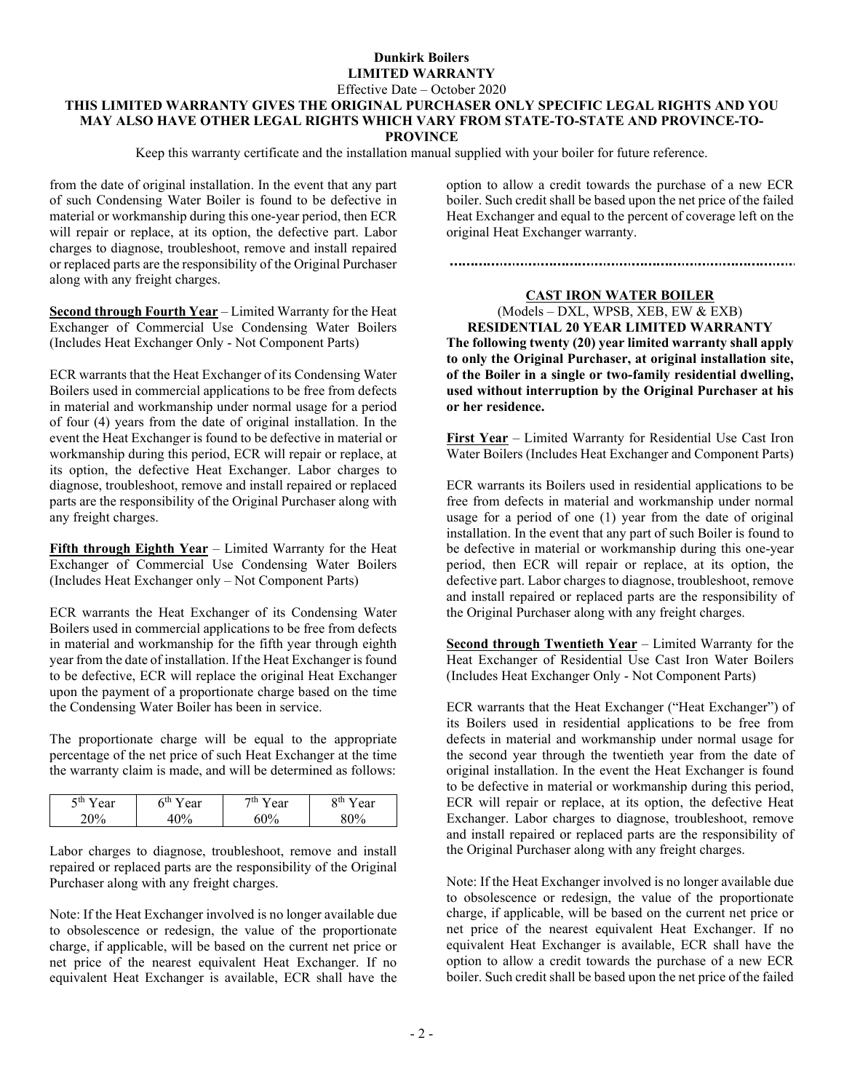### Effective Date – October 2020 **THIS LIMITED WARRANTY GIVES THE ORIGINAL PURCHASER ONLY SPECIFIC LEGAL RIGHTS AND YOU MAY ALSO HAVE OTHER LEGAL RIGHTS WHICH VARY FROM STATE-TO-STATE AND PROVINCE-TO-PROVINCE**

Keep this warranty certificate and the installation manual supplied with your boiler for future reference.

from the date of original installation. In the event that any part of such Condensing Water Boiler is found to be defective in material or workmanship during this one-year period, then ECR will repair or replace, at its option, the defective part. Labor charges to diagnose, troubleshoot, remove and install repaired or replaced parts are the responsibility of the Original Purchaser along with any freight charges.

**Second through Fourth Year** – Limited Warranty for the Heat Exchanger of Commercial Use Condensing Water Boilers (Includes Heat Exchanger Only - Not Component Parts)

ECR warrants that the Heat Exchanger of its Condensing Water Boilers used in commercial applications to be free from defects in material and workmanship under normal usage for a period of four (4) years from the date of original installation. In the event the Heat Exchanger is found to be defective in material or workmanship during this period, ECR will repair or replace, at its option, the defective Heat Exchanger. Labor charges to diagnose, troubleshoot, remove and install repaired or replaced parts are the responsibility of the Original Purchaser along with any freight charges.

**Fifth through Eighth Year** – Limited Warranty for the Heat Exchanger of Commercial Use Condensing Water Boilers (Includes Heat Exchanger only – Not Component Parts)

ECR warrants the Heat Exchanger of its Condensing Water Boilers used in commercial applications to be free from defects in material and workmanship for the fifth year through eighth year from the date of installation. If the Heat Exchanger is found to be defective, ECR will replace the original Heat Exchanger upon the payment of a proportionate charge based on the time the Condensing Water Boiler has been in service.

The proportionate charge will be equal to the appropriate percentage of the net price of such Heat Exchanger at the time the warranty claim is made, and will be determined as follows:

| ςth<br>Zш<br>ear<br>ear<br>. .<br>ιv | 7th<br>ear<br>$\gamma_{0}$ | ear<br>vш |
|--------------------------------------|----------------------------|-----------|
|--------------------------------------|----------------------------|-----------|

Labor charges to diagnose, troubleshoot, remove and install repaired or replaced parts are the responsibility of the Original Purchaser along with any freight charges.

Note: If the Heat Exchanger involved is no longer available due to obsolescence or redesign, the value of the proportionate charge, if applicable, will be based on the current net price or net price of the nearest equivalent Heat Exchanger. If no equivalent Heat Exchanger is available, ECR shall have the option to allow a credit towards the purchase of a new ECR boiler. Such credit shall be based upon the net price of the failed Heat Exchanger and equal to the percent of coverage left on the original Heat Exchanger warranty.

## **CAST IRON WATER BOILER**

(Models – DXL, WPSB, XEB, EW & EXB) **RESIDENTIAL 20 YEAR LIMITED WARRANTY The following twenty (20) year limited warranty shall apply to only the Original Purchaser, at original installation site, of the Boiler in a single or two-family residential dwelling, used without interruption by the Original Purchaser at his or her residence.**

**First Year** – Limited Warranty for Residential Use Cast Iron Water Boilers (Includes Heat Exchanger and Component Parts)

ECR warrants its Boilers used in residential applications to be free from defects in material and workmanship under normal usage for a period of one (1) year from the date of original installation. In the event that any part of such Boiler is found to be defective in material or workmanship during this one-year period, then ECR will repair or replace, at its option, the defective part. Labor charges to diagnose, troubleshoot, remove and install repaired or replaced parts are the responsibility of the Original Purchaser along with any freight charges.

**Second through Twentieth Year** – Limited Warranty for the Heat Exchanger of Residential Use Cast Iron Water Boilers (Includes Heat Exchanger Only - Not Component Parts)

ECR warrants that the Heat Exchanger ("Heat Exchanger") of its Boilers used in residential applications to be free from defects in material and workmanship under normal usage for the second year through the twentieth year from the date of original installation. In the event the Heat Exchanger is found to be defective in material or workmanship during this period, ECR will repair or replace, at its option, the defective Heat Exchanger. Labor charges to diagnose, troubleshoot, remove and install repaired or replaced parts are the responsibility of the Original Purchaser along with any freight charges.

Note: If the Heat Exchanger involved is no longer available due to obsolescence or redesign, the value of the proportionate charge, if applicable, will be based on the current net price or net price of the nearest equivalent Heat Exchanger. If no equivalent Heat Exchanger is available, ECR shall have the option to allow a credit towards the purchase of a new ECR boiler. Such credit shall be based upon the net price of the failed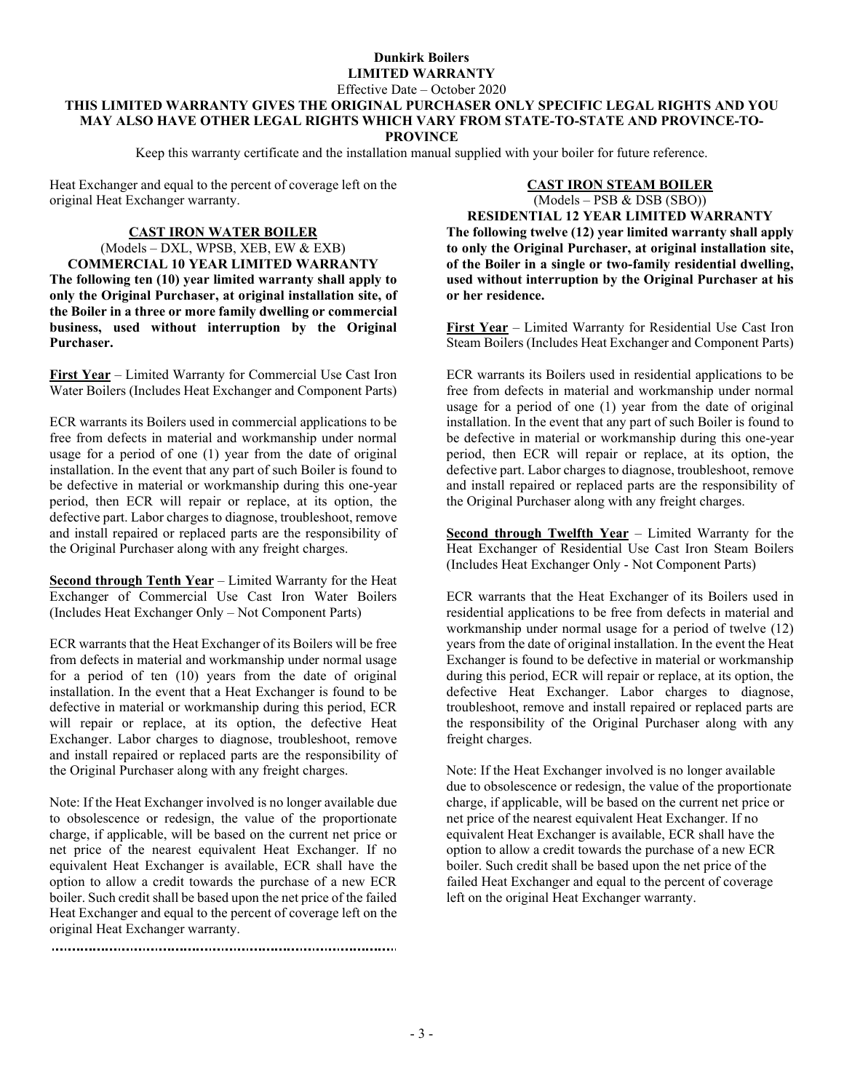## **Dunkirk Boilers LIMITED WARRANTY** Effective Date – October 2020

## **THIS LIMITED WARRANTY GIVES THE ORIGINAL PURCHASER ONLY SPECIFIC LEGAL RIGHTS AND YOU MAY ALSO HAVE OTHER LEGAL RIGHTS WHICH VARY FROM STATE-TO-STATE AND PROVINCE-TO-PROVINCE**

Keep this warranty certificate and the installation manual supplied with your boiler for future reference.

Heat Exchanger and equal to the percent of coverage left on the original Heat Exchanger warranty.

#### **CAST IRON WATER BOILER**

(Models – DXL, WPSB, XEB, EW & EXB) **COMMERCIAL 10 YEAR LIMITED WARRANTY The following ten (10) year limited warranty shall apply to only the Original Purchaser, at original installation site, of the Boiler in a three or more family dwelling or commercial business, used without interruption by the Original Purchaser.**

**First Year** – Limited Warranty for Commercial Use Cast Iron Water Boilers (Includes Heat Exchanger and Component Parts)

ECR warrants its Boilers used in commercial applications to be free from defects in material and workmanship under normal usage for a period of one (1) year from the date of original installation. In the event that any part of such Boiler is found to be defective in material or workmanship during this one-year period, then ECR will repair or replace, at its option, the defective part. Labor charges to diagnose, troubleshoot, remove and install repaired or replaced parts are the responsibility of the Original Purchaser along with any freight charges.

**Second through Tenth Year** – Limited Warranty for the Heat Exchanger of Commercial Use Cast Iron Water Boilers (Includes Heat Exchanger Only – Not Component Parts)

ECR warrants that the Heat Exchanger of its Boilers will be free from defects in material and workmanship under normal usage for a period of ten (10) years from the date of original installation. In the event that a Heat Exchanger is found to be defective in material or workmanship during this period, ECR will repair or replace, at its option, the defective Heat Exchanger. Labor charges to diagnose, troubleshoot, remove and install repaired or replaced parts are the responsibility of the Original Purchaser along with any freight charges.

Note: If the Heat Exchanger involved is no longer available due to obsolescence or redesign, the value of the proportionate charge, if applicable, will be based on the current net price or net price of the nearest equivalent Heat Exchanger. If no equivalent Heat Exchanger is available, ECR shall have the option to allow a credit towards the purchase of a new ECR boiler. Such credit shall be based upon the net price of the failed Heat Exchanger and equal to the percent of coverage left on the original Heat Exchanger warranty.

## **CAST IRON STEAM BOILER** (Models – PSB & DSB (SBO)) **RESIDENTIAL 12 YEAR LIMITED WARRANTY**

**The following twelve (12) year limited warranty shall apply to only the Original Purchaser, at original installation site, of the Boiler in a single or two-family residential dwelling, used without interruption by the Original Purchaser at his or her residence.**

**First Year** – Limited Warranty for Residential Use Cast Iron Steam Boilers (Includes Heat Exchanger and Component Parts)

ECR warrants its Boilers used in residential applications to be free from defects in material and workmanship under normal usage for a period of one (1) year from the date of original installation. In the event that any part of such Boiler is found to be defective in material or workmanship during this one-year period, then ECR will repair or replace, at its option, the defective part. Labor charges to diagnose, troubleshoot, remove and install repaired or replaced parts are the responsibility of the Original Purchaser along with any freight charges.

**Second through Twelfth Year** – Limited Warranty for the Heat Exchanger of Residential Use Cast Iron Steam Boilers (Includes Heat Exchanger Only - Not Component Parts)

ECR warrants that the Heat Exchanger of its Boilers used in residential applications to be free from defects in material and workmanship under normal usage for a period of twelve (12) years from the date of original installation. In the event the Heat Exchanger is found to be defective in material or workmanship during this period, ECR will repair or replace, at its option, the defective Heat Exchanger. Labor charges to diagnose, troubleshoot, remove and install repaired or replaced parts are the responsibility of the Original Purchaser along with any freight charges.

Note: If the Heat Exchanger involved is no longer available due to obsolescence or redesign, the value of the proportionate charge, if applicable, will be based on the current net price or net price of the nearest equivalent Heat Exchanger. If no equivalent Heat Exchanger is available, ECR shall have the option to allow a credit towards the purchase of a new ECR boiler. Such credit shall be based upon the net price of the failed Heat Exchanger and equal to the percent of coverage left on the original Heat Exchanger warranty.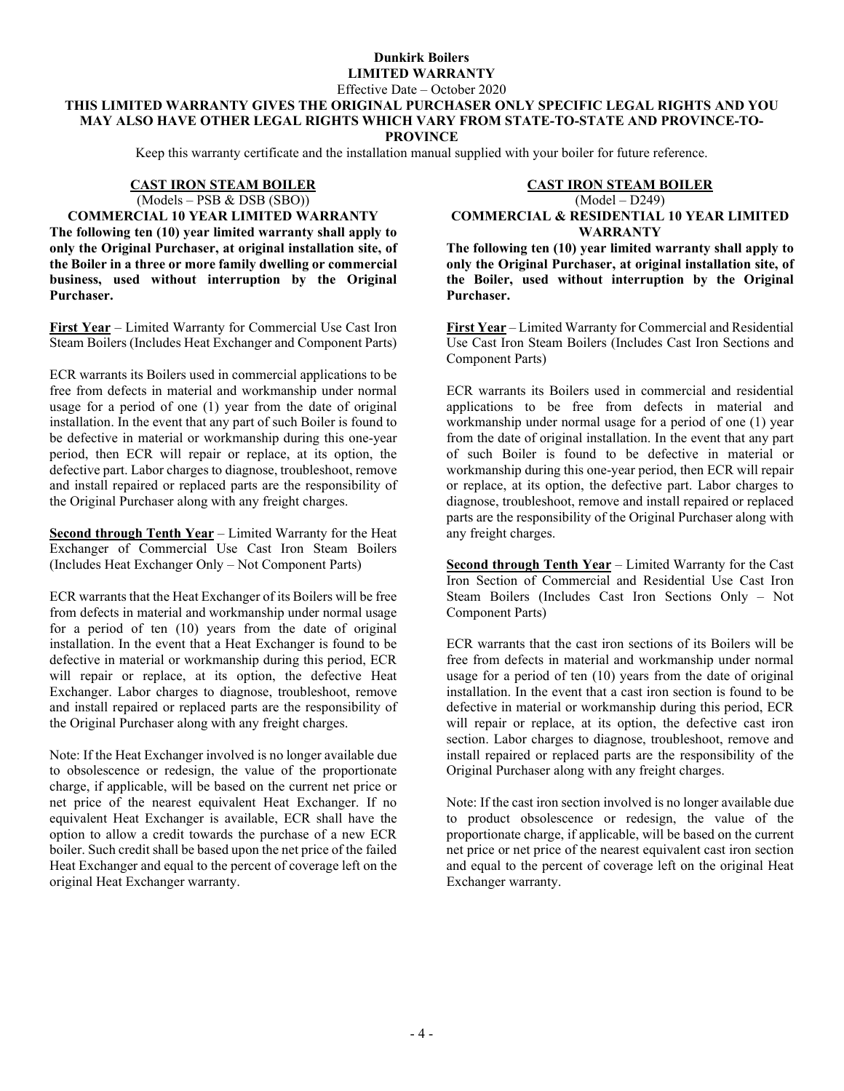Effective Date – October 2020

## **THIS LIMITED WARRANTY GIVES THE ORIGINAL PURCHASER ONLY SPECIFIC LEGAL RIGHTS AND YOU MAY ALSO HAVE OTHER LEGAL RIGHTS WHICH VARY FROM STATE-TO-STATE AND PROVINCE-TO-PROVINCE**

Keep this warranty certificate and the installation manual supplied with your boiler for future reference.

# **CAST IRON STEAM BOILER** (Models – PSB & DSB (SBO))

**COMMERCIAL 10 YEAR LIMITED WARRANTY The following ten (10) year limited warranty shall apply to only the Original Purchaser, at original installation site, of the Boiler in a three or more family dwelling or commercial business, used without interruption by the Original Purchaser.**

**First Year** – Limited Warranty for Commercial Use Cast Iron Steam Boilers (Includes Heat Exchanger and Component Parts)

ECR warrants its Boilers used in commercial applications to be free from defects in material and workmanship under normal usage for a period of one (1) year from the date of original installation. In the event that any part of such Boiler is found to be defective in material or workmanship during this one-year period, then ECR will repair or replace, at its option, the defective part. Labor charges to diagnose, troubleshoot, remove and install repaired or replaced parts are the responsibility of the Original Purchaser along with any freight charges.

**Second through Tenth Year** – Limited Warranty for the Heat Exchanger of Commercial Use Cast Iron Steam Boilers (Includes Heat Exchanger Only – Not Component Parts)

ECR warrants that the Heat Exchanger of its Boilers will be free from defects in material and workmanship under normal usage for a period of ten (10) years from the date of original installation. In the event that a Heat Exchanger is found to be defective in material or workmanship during this period, ECR will repair or replace, at its option, the defective Heat Exchanger. Labor charges to diagnose, troubleshoot, remove and install repaired or replaced parts are the responsibility of the Original Purchaser along with any freight charges.

Note: If the Heat Exchanger involved is no longer available due to obsolescence or redesign, the value of the proportionate charge, if applicable, will be based on the current net price or net price of the nearest equivalent Heat Exchanger. If no equivalent Heat Exchanger is available, ECR shall have the option to allow a credit towards the purchase of a new ECR boiler. Such credit shall be based upon the net price of the failed Heat Exchanger and equal to the percent of coverage left on the original Heat Exchanger warranty.

# **CAST IRON STEAM BOILER** (Model – D249)

**COMMERCIAL & RESIDENTIAL 10 YEAR LIMITED WARRANTY**

**The following ten (10) year limited warranty shall apply to only the Original Purchaser, at original installation site, of the Boiler, used without interruption by the Original Purchaser.**

**First Year** – Limited Warranty for Commercial and Residential Use Cast Iron Steam Boilers (Includes Cast Iron Sections and Component Parts)

ECR warrants its Boilers used in commercial and residential applications to be free from defects in material and workmanship under normal usage for a period of one (1) year from the date of original installation. In the event that any part of such Boiler is found to be defective in material or workmanship during this one-year period, then ECR will repair or replace, at its option, the defective part. Labor charges to diagnose, troubleshoot, remove and install repaired or replaced parts are the responsibility of the Original Purchaser along with any freight charges.

**Second through Tenth Year** – Limited Warranty for the Cast Iron Section of Commercial and Residential Use Cast Iron Steam Boilers (Includes Cast Iron Sections Only – Not Component Parts)

ECR warrants that the cast iron sections of its Boilers will be free from defects in material and workmanship under normal usage for a period of ten (10) years from the date of original installation. In the event that a cast iron section is found to be defective in material or workmanship during this period, ECR will repair or replace, at its option, the defective cast iron section. Labor charges to diagnose, troubleshoot, remove and install repaired or replaced parts are the responsibility of the Original Purchaser along with any freight charges.

Note: If the cast iron section involved is no longer available due to product obsolescence or redesign, the value of the proportionate charge, if applicable, will be based on the current net price or net price of the nearest equivalent cast iron section and equal to the percent of coverage left on the original Heat Exchanger warranty.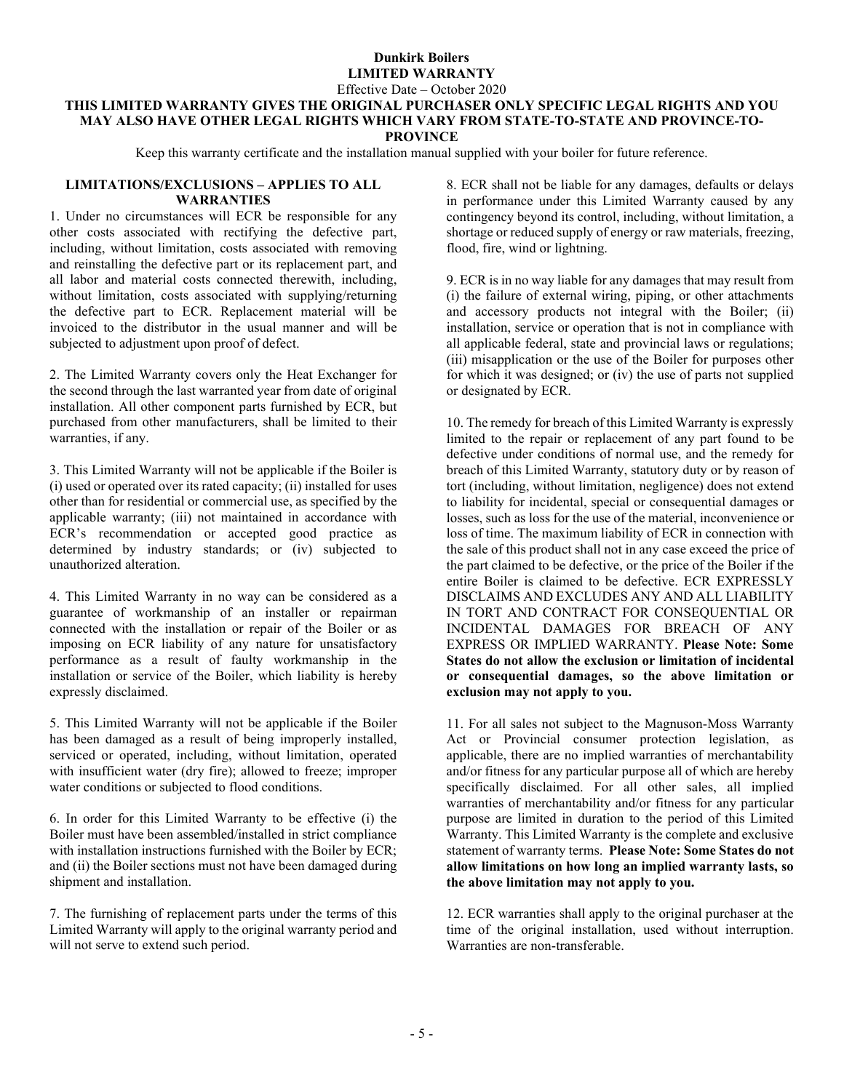Effective Date – October 2020

#### **THIS LIMITED WARRANTY GIVES THE ORIGINAL PURCHASER ONLY SPECIFIC LEGAL RIGHTS AND YOU MAY ALSO HAVE OTHER LEGAL RIGHTS WHICH VARY FROM STATE-TO-STATE AND PROVINCE-TO-PROVINCE**

Keep this warranty certificate and the installation manual supplied with your boiler for future reference.

#### **LIMITATIONS/EXCLUSIONS – APPLIES TO ALL WARRANTIES**

1. Under no circumstances will ECR be responsible for any other costs associated with rectifying the defective part, including, without limitation, costs associated with removing and reinstalling the defective part or its replacement part, and all labor and material costs connected therewith, including, without limitation, costs associated with supplying/returning the defective part to ECR. Replacement material will be invoiced to the distributor in the usual manner and will be subjected to adjustment upon proof of defect.

2. The Limited Warranty covers only the Heat Exchanger for the second through the last warranted year from date of original installation. All other component parts furnished by ECR, but purchased from other manufacturers, shall be limited to their warranties, if any.

3. This Limited Warranty will not be applicable if the Boiler is (i) used or operated over its rated capacity; (ii) installed for uses other than for residential or commercial use, as specified by the applicable warranty; (iii) not maintained in accordance with ECR's recommendation or accepted good practice as determined by industry standards; or (iv) subjected to unauthorized alteration.

4. This Limited Warranty in no way can be considered as a guarantee of workmanship of an installer or repairman connected with the installation or repair of the Boiler or as imposing on ECR liability of any nature for unsatisfactory performance as a result of faulty workmanship in the installation or service of the Boiler, which liability is hereby expressly disclaimed.

5. This Limited Warranty will not be applicable if the Boiler has been damaged as a result of being improperly installed, serviced or operated, including, without limitation, operated with insufficient water (dry fire); allowed to freeze; improper water conditions or subjected to flood conditions.

6. In order for this Limited Warranty to be effective (i) the Boiler must have been assembled/installed in strict compliance with installation instructions furnished with the Boiler by ECR; and (ii) the Boiler sections must not have been damaged during shipment and installation.

7. The furnishing of replacement parts under the terms of this Limited Warranty will apply to the original warranty period and will not serve to extend such period.

8. ECR shall not be liable for any damages, defaults or delays in performance under this Limited Warranty caused by any contingency beyond its control, including, without limitation, a shortage or reduced supply of energy or raw materials, freezing, flood, fire, wind or lightning.

9. ECR is in no way liable for any damages that may result from (i) the failure of external wiring, piping, or other attachments and accessory products not integral with the Boiler; (ii) installation, service or operation that is not in compliance with all applicable federal, state and provincial laws or regulations; (iii) misapplication or the use of the Boiler for purposes other for which it was designed; or (iv) the use of parts not supplied or designated by ECR.

10. The remedy for breach of this Limited Warranty is expressly limited to the repair or replacement of any part found to be defective under conditions of normal use, and the remedy for breach of this Limited Warranty, statutory duty or by reason of tort (including, without limitation, negligence) does not extend to liability for incidental, special or consequential damages or losses, such as loss for the use of the material, inconvenience or loss of time. The maximum liability of ECR in connection with the sale of this product shall not in any case exceed the price of the part claimed to be defective, or the price of the Boiler if the entire Boiler is claimed to be defective. ECR EXPRESSLY DISCLAIMS AND EXCLUDES ANY AND ALL LIABILITY IN TORT AND CONTRACT FOR CONSEQUENTIAL OR INCIDENTAL DAMAGES FOR BREACH OF ANY EXPRESS OR IMPLIED WARRANTY. **Please Note: Some States do not allow the exclusion or limitation of incidental or consequential damages, so the above limitation or exclusion may not apply to you.**

11. For all sales not subject to the Magnuson-Moss Warranty Act or Provincial consumer protection legislation, as applicable, there are no implied warranties of merchantability and/or fitness for any particular purpose all of which are hereby specifically disclaimed. For all other sales, all implied warranties of merchantability and/or fitness for any particular purpose are limited in duration to the period of this Limited Warranty. This Limited Warranty is the complete and exclusive statement of warranty terms. **Please Note: Some States do not allow limitations on how long an implied warranty lasts, so the above limitation may not apply to you.**

12. ECR warranties shall apply to the original purchaser at the time of the original installation, used without interruption. Warranties are non-transferable.